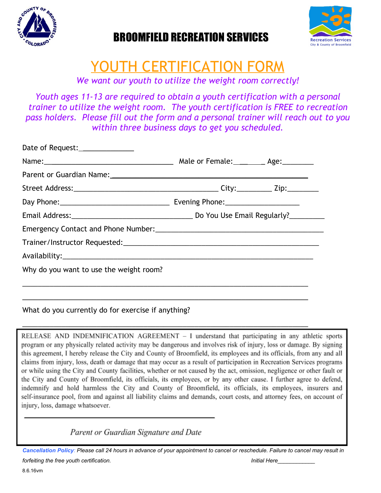

## BROOMFIELD RECREATION SERVICES



# YOUTH CERTIFICATION FORM

*We want our youth to utilize the weight room correctly!*

*Youth ages 11-13 are required to obtain a youth certification with a personal trainer to utilize the weight room. The youth certification is FREE to recreation pass holders. Please fill out the form and a personal trainer will reach out to you within three business days to get you scheduled.*

| Date of Request:________________        |  |  |
|-----------------------------------------|--|--|
|                                         |  |  |
|                                         |  |  |
|                                         |  |  |
|                                         |  |  |
|                                         |  |  |
|                                         |  |  |
|                                         |  |  |
|                                         |  |  |
| Why do you want to use the weight room? |  |  |
|                                         |  |  |
|                                         |  |  |

## What do you currently do for exercise if anything?

RELEASE AND INDEMNIFICATION AGREEMENT - I understand that participating in any athletic sports program or any physically related activity may be dangerous and involves risk of injury, loss or damage. By signing this agreement, I hereby release the City and County of Broomfield, its employees and its officials, from any and all claims from injury, loss, death or damage that may occur as a result of participation in Recreation Services programs or while using the City and County facilities, whether or not caused by the act, omission, negligence or other fault or the City and County of Broomfield, its officials, its employees, or by any other cause. I further agree to defend, indemnify and hold harmless the City and County of Broomfield, its officials, its employees, insurers and self-insurance pool, from and against all liability claims and demands, court costs, and attorney fees, on account of injury, loss, damage whatsoever.

\_\_\_\_\_\_\_\_\_\_\_\_\_\_\_\_\_\_\_\_\_\_\_\_\_\_\_\_\_\_\_\_\_\_\_\_\_\_\_\_\_\_\_\_\_\_\_\_\_\_\_\_\_\_\_\_\_\_\_\_\_\_\_\_\_\_\_\_\_\_\_\_\_

Parent or Guardian Signature and Date

 *Cancellation Policy: Please call 24 hours in advance of your appointment to cancel or reschedule. Failure to cancel may result in forfeiting the free youth certification. Initial Here\_\_\_\_\_\_\_\_\_\_\_\_*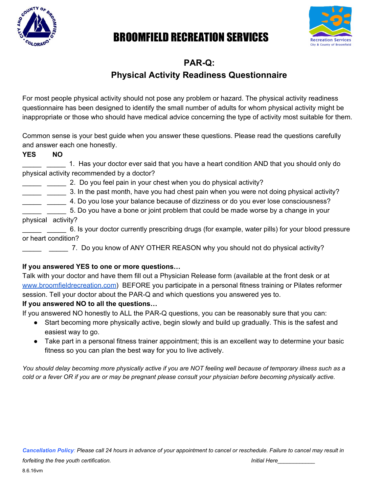

## BROOMFIELD RECREATION SERVICES



## **PAR-Q:**

## **Physical Activity Readiness Questionnaire**

For most people physical activity should not pose any problem or hazard. The physical activity readiness questionnaire has been designed to identify the small number of adults for whom physical activity might be inappropriate or those who should have medical advice concerning the type of activity most suitable for them.

Common sense is your best guide when you answer these questions. Please read the questions carefully and answer each one honestly.

### **YES NO**

\_\_\_\_\_ \_\_\_\_\_ 1. Has your doctor ever said that you have a heart condition AND that you should only do physical activity recommended by a doctor?

- \_ \_\_\_\_ 2. Do you feel pain in your chest when you do physical activity?
- \_\_\_\_\_ \_\_\_\_\_ 3. In the past month, have you had chest pain when you were not doing physical activity?
- \_\_\_\_\_ \_\_\_\_\_ 4. Do you lose your balance because of dizziness or do you ever lose consciousness?

\_\_\_\_\_ \_\_\_\_\_ 5. Do you have a bone or joint problem that could be made worse by a change in your physical activity?

\_\_\_\_\_ \_\_\_\_\_ 6. Is your doctor currently prescribing drugs (for example, water pills) for your blood pressure or heart condition?

\_\_\_\_\_ \_\_\_\_\_ 7. Do you know of ANY OTHER REASON why you should not do physical activity?

### **If you answered YES to one or more questions…**

Talk with your doctor and have them fill out a Physician Release form (available at the front desk or at [www.broomfieldrecreation.com\)](http://www.broomfieldrecreation.com/) BEFORE you participate in a personal fitness training or Pilates reformer session. Tell your doctor about the PAR-Q and which questions you answered yes to.

### **If you answered NO to all the questions…**

If you answered NO honestly to ALL the PAR-Q questions, you can be reasonably sure that you can:

- Start becoming more physically active, begin slowly and build up gradually. This is the safest and easiest way to go.
- Take part in a personal fitness trainer appointment; this is an excellent way to determine your basic fitness so you can plan the best way for you to live actively.

*You should delay becoming more physically active if you are NOT feeling well because of temporary illness such as a cold or a fever OR if you are or may be pregnant please consult your physician before becoming physically active.*